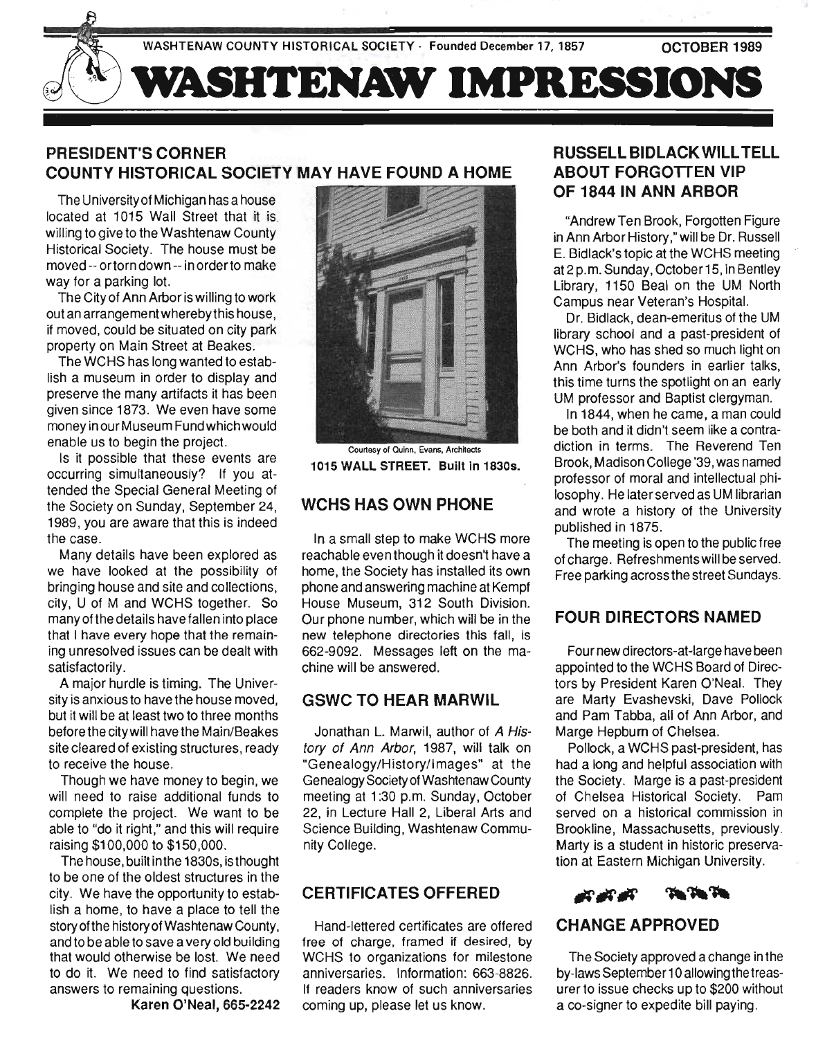WASHTENAW COUNTY HISTORICAL SOCIETY - Founded December 17, 1857

OCTOBER 1989



# **PRESIDENT'S CORNER COUNTY HISTORICAL SOCIETY MAY HAVE FOUND A HOME**

The University of Michigan has a house located at 1015 Wall Street that it is. willing to give to the Washtenaw County Historical Society. The house must be moved -- ortorn down -- in orderto make way for a parking lot.

The City of Ann Arbor is willing to work out an arrangeme nt whereby this house, if moved, could be situated on city park property on Main Street at Beakes.

The WCHS has long wanted to establish a museum in order to display and preserve the many artifacts it has been given since 1873. We even have some money in our Museum Fund which would enable us to begin the project.

Is it possible that these events are occurring simultaneously? If you attended the Special General Meeting of the Society on Sunday, September 24, 1989, you are aware that this is indeed the case.

Many details have been explored as we have looked at the possibility of bringing house and site and collections, city, U of M and WCHS together. So many of the details have fallen into place that I have every hope that the remaining unresolved issues can be dealt with satisfactorily.

A major hurdle is timing. The University is anxious to have the house moved, but it will be at least two to three months before the city will have the Main/Beakes site cleared of existing structures, ready to receive the house.

Though we have money to begin, we will need to raise additional funds to complete the project. We want to be able to "do it right," and this will require raising \$100,000 to \$150,000.

The house, built in the 1830s, is thought to be one of the oldest structures in the city. We have the opportunity to establish a home, to have a place to tell the story of the history of Washtenaw County, and to be able to save a very old building that would otherwise be lost. We need to do it. We need to find satisfactory answers to remaining questions.

Karen O'Neal, 665-2242



Courtesy of Quinn, Evans, Architects 1015 WALL STREET. Built In 1830s.

## **WCHS HAS OWN PHONE**

In a small step to make WCHS more reachable even though it doesn't have a home, the Society has installed its own phone and answering machine at Kempf House Museum, 312 South Division. Our phone number, which will be in the new telephone directories this fall, is 662-9092. Messages left on the machine will be answered.

## **GSWC TO HEAR MARWIL**

Jonathan L. Marwil, author of A History of Ann Arbor, 1987, will talk on "Genealogy/Historylimages" at the Genealogy Society of Washtenaw County meeting at 1 :30 p.m. Sunday, October 22, in Lecture Hall 2, Liberal Arts and Science Building, Washtenaw Community College.

# **CERTIFICATES OFFERED**

Hand-lettered certificates are offered free of charge, framed if desired, by WCHS to organizations for milestone anniversaries. Information: 663-8826. If readers know of such anniversaries coming up, please let us know.

# **RUSSELL BIDLACK WILL TELL ABOUT FORGOTTEN VIP OF 1844 IN ANN ARBOR**

"Andrew Ten Brook, Forgotten Figure in Ann Arbor History ," will be Dr. Russell E. Bidlack's topic at the WCHS meeting at2p.m. Sunday, October 15, in Bentley Library, 1150 Beal on the UM North Campus near Veteran's Hospital.

Dr. Bidlack, dean-emeritus of the UM library school and a past-president of WCHS, who has shed so much light on Ann Arbor's founders in earlier talks, this time turns the spotlight on an early UM professor and Baptist clergyman.

In 1844, when he came, a man could be both and it didn't seem like a contradiction in terms. The Reverend Ten Brook, Madison College '39, was named professor of moral and intellectual philosophy. He later served as UM librarian and wrote a history of the University published in 1875.

The meeting is open to the public free of charge. Refreshments will be served. Free parking across the street Sundays.

## **FOUR DIRECTORS NAMED**

Four new directors-at-Iarge have been appointed to the WCHS Board of Directors by President Karen O'Neal. They are Marty Evashevski, Dave Pollock and Pam Tabba, all of Ann Arbor, and Marge Hepburn of Chelsea.

Pollock, a WCHS past-president, has had a long and helpful association with the Society. Marge is a past-president of Chelsea Historical Society. Pam served on a historical commission in Brookline, Massachusetts, previously. Marty is a student in historic preservation at Eastern Michigan University.



# **CHANGE APPROVED**

The Society approved a change in the by-laws September 1 0 allowing the treasurer to issue checks up to \$200 without a co-signer to expedite bill paying.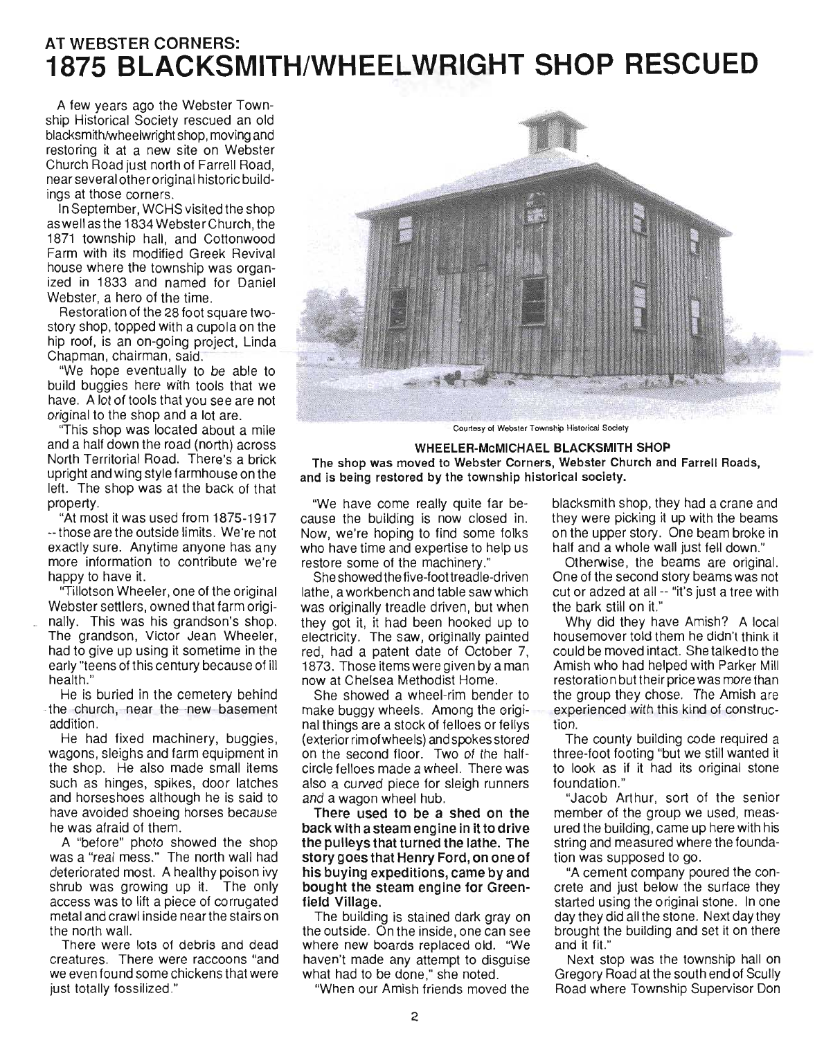# **AT WEBSTER CORNERS: 1875 BLACKSMITH/WHEELWRIGHT SHOP RESCUED**

A few years ago the Webster Township Historical Society rescued an old blacksmith/wheelwright shop, moving and restoring it at a new site on Webster Church Road just north of Farrell Road, near several other original historic buildings at those corners.

In September, WCHS visited the shop aswellasthe 1834 Webster Church, the 1871 township hall, and Cottonwood Farm with its modified Greek Revival house where the township was organized in 1833 and named for Daniel Webster, a hero of the time.

Restoration of the 28 foot square twostory shop, topped with a cupola on the hip roof, is an on-going project, Linda Chapman, chairman, said.

"We hope eventually to be able to build buggies here with tools that we have. A lot of tools that you see are not original to the shop and a lot are.

"This shop was located about a mile and a half down the road (north) across North Territorial Road. There's a brick upright and wing style farmhouse on the left. The shop was at the back of that property.

"At most it was used from 1875-1917 -- those are the outside limits. We're not exactly sure. Anytime anyone has any more information to contribute we're happy to have it.

"Tillotson Wheeler, one of the original Webster settlers, owned that farm origi nally. This was his grandson's shop. The grandson, Victor Jean Wheeler, had to give up using it sometime in the early "teens of this century because of ill health."

He is buried in the cemetery behind the church, near the new basement addition.

He had fixed machinery, buggies, wagons, sleighs and farm equipment in the shop. He also made small items such as hinges, spikes, door latches and horseshoes although he is said to have avoided shoeing horses because he was afraid of them.

A "before" photo showed the shop was a "real mess." The north wall had deteriorated most. A healthy poison ivy shrub was growing up it. The only access was to lift a piece of corrugated metal and crawl inside near the stairs on the north wall.

There were lots of debris and dead creatures. There were raccoons "and we even found some chickens that were just totally fossilized."



Courtesy of Webster Township Historical Society

#### WHEELER-McMICHAEL BLACKSMITH SHOP

The shop was moved to Webster Corners, Webster Church and Farrell Roads, and is being restored by the township historical society.

"We have come really quite far because the building is now closed in. Now, we're hoping to find some folks who have time and expertise to help us restore some of the machinery."

She showed the five-foottreadle-driven lathe, a workbench and table saw which was originally treadle driven, but when they got it, it had been hooked up to electricity. The saw, originally painted red, had a patent date of October 7, 1873. Those items were given by a man now at Chelsea Methodist Home.

She showed a wheel-rim bender to make buggy wheels. Among the original things are a stock of felloes or fellys (exterior rim of wheels) and spokes stored on the second floor. Two of the halfcircle felloes made a wheel. There was also a curved piece for sleigh runners and a wagon wheel hub.

There used to be a shed on the back with a steam engine in it to drive the pulleys that turned the lathe. The story goes that Henry Ford, on one of his buying expeditions, came by and bought the steam engine for Greenfield Village.

The building is stained dark gray on the outside. On the inside, one can see where new boards replaced old. "We haven't made any attempt to disguise what had to be done," she noted.

"When our Amish friends moved the

blacksmith shop, they had a crane and they were picking it up with the beams on the upper story. One beam broke in half and a whole wall just fell down."

Otherwise, the beams are original. One of the second story beams was not cut or adzed at all -- "it's just a tree with the bark still on it."

Why did they have Amish? A local house mover told them he didn't think it could be moved intact. She talked to the Amish who had helped with Parker Mill restoration but their price was more than the group they chose. The Amish are experienced with this kind of construction.

The county building code required a three-foot footing "but we still wanted it to look as if it had its original stone foundation."

"Jacob Arthur, sort of the senior member of the group we used, measured the building, came up here with his string and measured where the foundation was supposed to go.

"A cement company poured the concrete and just below the surface they started using the original stone. In one day they did all the stone. Next day they brought the building and set it on there and it fit."

Next stop was the township hall on Gregory Road at the south end of Scully Road where Township Supervisor Don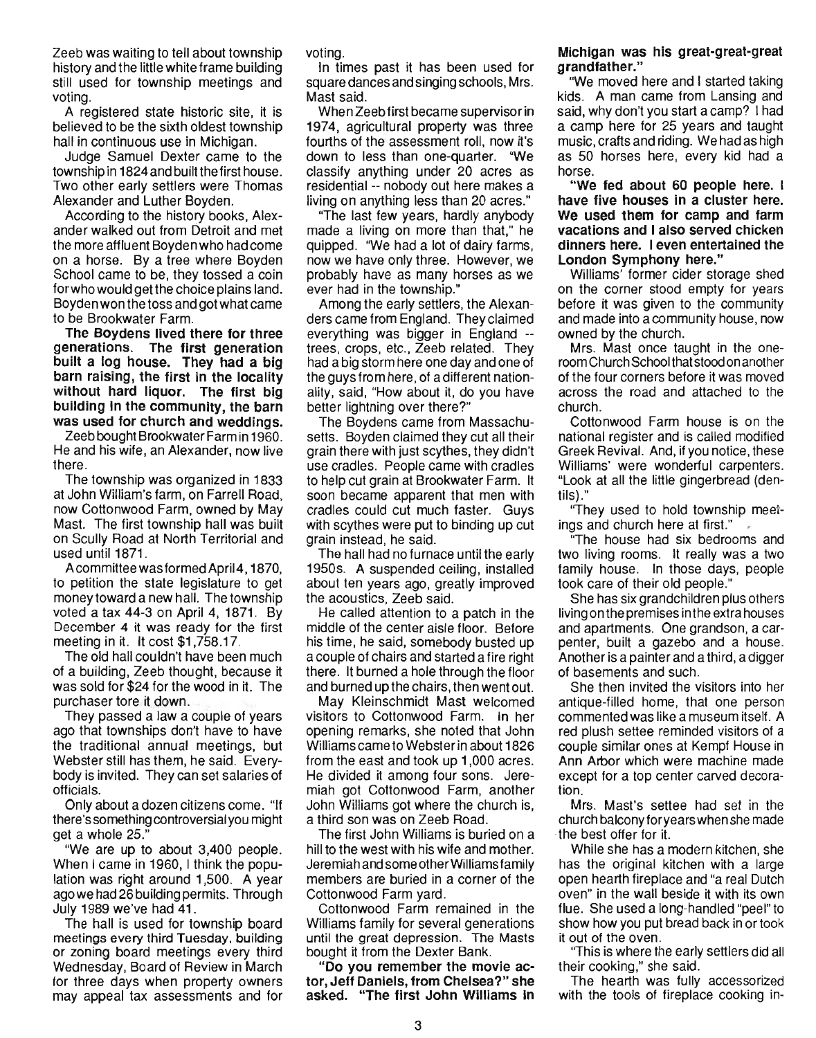Zeeb was waiting to tell about township history and the little white frame building still used for township meetings and voting.

A registered state historic site, it is believed to be the sixth oldest township hall in continuous use in Michigan.

Judge Samuel Dexter came to the township in 1824 and built the first house. Two other early settlers were Thomas Alexander and Luther Boyden.

According to the history books, Alexander walked out from Detroit and met the more affluent Boyden who had come on a horse. By a tree where Boyden School came to be, they tossed a coin for who would get the choice plains land. Boyden won the toss and got what came to be Brookwater Farm.

The Boydens lived there for three generations. The first generation built a log house. They had a big barn raising, the first In the locality without hard liquor. The first big building In the community, the barn was used for church and weddings.

Zeeb bought Brookwater Farm in 1960. He and his wife, an Alexander, now live there .

The township was organized in 1833 at John William's farm, on Farrell Road, now Cottonwood Farm, owned by May Mast. The first township hall was built on Scully Road at North Territorial and used until 1871.

Acommittee was formed April 4, 1870, to petition the state legislature to get money toward a new hall. The township voted a tax 44-3 on April 4, 1871. By December 4 it was ready for the first meeting in it. It cost \$1,758.17.

The old hall couldn't have been much of a building, Zeeb thought, because it was sold for \$24 for the wood in it. The purchaser tore it down.

They passed a law a couple of years ago that townships don't have to have the traditional annual meetings, but Webster still has them, he said. Everybody is invited. They can set salaries of officials.

Only about a dozen citizens come. "If there's something controversial you might get a whole 25."

"We are up to about 3,400 people. When I came in 1960, I think the population was right around 1,500. A year ago we had 26 building permits. Through July 1989 we've had 41 .

The hall is used for township board meetings every third Tuesday, building or zoning board meetings every third Wednesday, Board of Review in March for three days when property owners may appeal tax assessments and for voting.

In times past it has been used for square dances and singing schools, Mrs. Mast said.

When Zeeb first became supervisor in 1974, agricultural property was three fourths of the assessment roll, now it's down to less than one-quarter. "We classify anything under 20 acres as residential -- nobody out here makes a living on anything less than 20 acres."

"The last few years, hardly anybody made a living on more than that," he quipped. 'We had a lot of dairy farms, now we have only three. However, we probably have as many horses as we ever had in the township."

Among the early settlers, the Alexanders came from England. They claimed everything was bigger in England - trees, crops, etc., Zeeb related. They had a big storm here one day and one of the guys from here, of a different nationality, said, "How about it, do you have better lightning over there?"

The Boydens came from Massachusetts. Boyden claimed they cut all their grain there with just scythes, they didn't use cradles. People came with cradles to help cut grain at Brookwater Farm. It soon became apparent that men with cradles could cut much faster. Guys with scythes were put to binding up cut grain instead, he said.

The hall had no furnace until the early 1950s. A suspended ceiling, installed about ten years ago, greatly improved the acoustics, Zeeb said.

He called attention to a patch in the middle of the center aisle floor. Before his time, he said, somebody busted up a couple of chairs and started a fire right there. It burned a hole through the floor and burned up the chairs, then went out.

May Kleinschmidt Mast welcomed visitors to Cottonwood Farm. In her opening remarks, she noted that John Williams came to Webster in about 1826 from the east and took up 1,000 acres. He divided it among four sons. Jeremiah got Cottonwood Farm, another John Williams got where the church is, a third son was on Zeeb Road.

The first John Williams is buried on a hill to the west with his wife and mother. Jeremiah and some otherWilliams family members are buried in a corner of the Cottonwood Farm yard.

Cottonwood Farm remained in the Williams family for several generations until the great depression. The Masts bought it from the Dexter Bank.

" Do you remember the movie actor, Jeff Daniels, from Chelsea?" she asked. "The first John Williams in

### Michigan was his great-great-great .grandfather."

"We moved here and I started taking kids. A man came from Lansing and said, why don't you start a camp? I had a camp here for 25 years and taught music, crafts and riding. We had as high as 50 horses here, every kid had a horse.

"We fed about 60 people here. I have five houses in a cluster here. We used them for camp and farm vacations and I also served chicken dinners here. I even entertained the London Symphony here."

Williams' former cider storage shed on the corner stood empty for years before it was given to the community and made into a community house, now owned by the church.

Mrs. Mast once taught in the oneroom Church School that stood on another of the four corners before it was moved across the road and attached to the church.

Cottonwood Farm house is on the national register and is called modified Greek Revival. And, if you notice, these Williams' were wonderful carpenters. "Look at all the little gingerbread (dentils)."

''They used to hold township meetings and church here at first."

"The house had six bedrooms and two living rooms. It really was a two family house. In those days, people took care of their old people."

She has six grandchildren plus others living on the premises inthe extra houses and apartments. One grandson, a carpenter, built a gazebo and a house. Another is a painter and a third, a digger of basements and such.

She then invited the visitors into her antique-filled home, that one person commented was like a museum itself. A red plush settee reminded visitors of a couple similar ones at Kempf House in Ann Arbor which were machine made except for a top center carved decoration.

Mrs. Mast's settee had set in the church balconyforyears when she made the best offer for it.

While she has a modern kitchen, she has the original kitchen with a large open hearth fireplace and "a real Dutch oven" in the wall beside it with its own flue. She used a long-handled "peel" to show how you put bread back in or took it out of the oven.

''This is where the early settlers did all their cooking," she said.

The hearth was fully accessorized with the tools of fireplace cooking in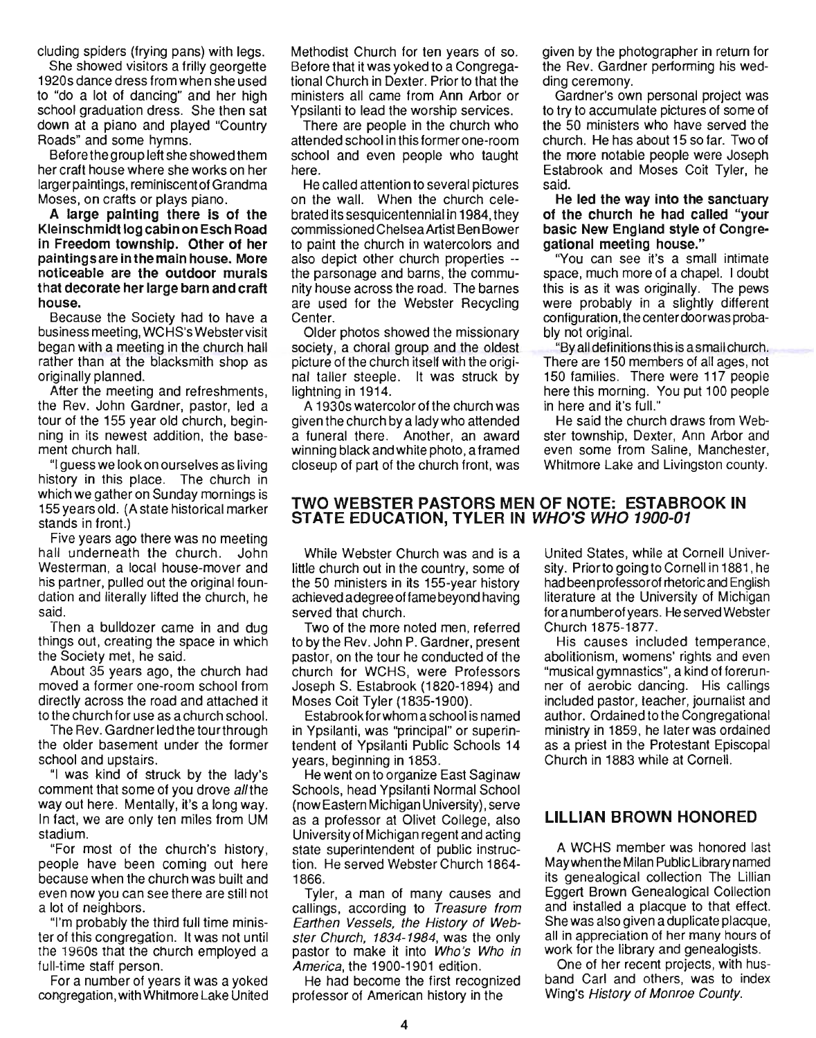cluding spiders (frying pans) with legs.

She showed visitors a frilly georgette 1920s dance dress from when she used to "do a lot of dancing" and her high school graduation dress. She then sat down at a piano and played "Country Roads" and some hymns.

Before the group left she showed them her craft house where she works on her larger paintings, reminiscent of Grandma Moses, on crafts or plays piano.

A large painting there is of the Kleinschmidt log cabin on Esch Road in Freedom township. Other of her paintings are in the main house. More noticeable are the outdoor murals that decorate her large barn and craft house.

Because the Society had to have a business meeting, WCHS's Webster visit began with a meeting in the church hall rather than at the blacksmith shop as originally planned.

After the meeting and refreshments, the Rev. John Gardner, pastor, led a tour of the 155 year old church, beginning in its newest addition, the basement church hall.

"I guess we look on ourselves as living history in this place. The church in which we gather on Sunday mornings is 155 years old. (A state historical marker stands in front.)

Five years ago there was no meeting hall underneath the church. John Westerman, a local house-mover and his partner, pulled out the original foundation and literally lifted the church, he said.

Then a bulldozer came in and dug things out, creating the space in which the Society met, he said.

About 35 years ago, the church had moved a former one-room school from directly across the road and attached it to the church for use as a church school.

The Rev. Gardner led the tour through the older basement under the former school and upstairs.

"I was kind of struck by the lady's comment that some of you drove all the way out here. Mentally, it's a long way. In fact, we are only ten miles from UM stadium.

"For most of the church's history, people have been coming out here because when the church was built and even now you can see there are still not a lot of neighbors.

"I'm probably the third full time minister of this congregation. It was not until the 1960s tnat the Church employed a full-time staff person.

For a number of years it was a yoked congregation, with Whitmore Lake United Methodist Church for ten years of so. Before that it was yoked to a Congregational Church in Dexter. Prior to that the ministers all came from Ann Arbor or Ypsilanti to lead the worship services.

There are people in the church who attended school in this former one-room school and even people who taught here.

He called attention to several pictures on the wall. When the church celebrated its sesquicentennial in 1984, they commissioned Chelsea Artist Ben Bower to paint the church in watercolors and also depict other church properties - the parsonage and barns, the community house across the road. The barnes are used for the Webster Recycling Center.

Older photos showed the missionary society, a choral group and the oldest picture of the church itself with the original taller steeple. It was struck by lightning in 1914.

A 1930s watercolor of the church was given the church by a ladywho attended a funeral there. Another, an award winning black and white photo, a framed closeup of part of the church front, was given by the photographer in return for the Rev. Gardner performing his wedding ceremony.

Gardner's own personal project was to try to accumulate pictures of some of the 50 ministers who have served the church. He has about 15 so far. Two of the more notable people were Joseph Estabrook and Moses Coit Tyler, he said.

He led the way into the sanctuary of the church he had called "your basic New England style of Congregational meeting house."

''You can see it's a small intimate space, much more of a chapel. I doubt this is as it was originally. The pews were probably in a slightly different configuration, the centerdoorwas probably not original.

"By all definitions this is a small church. There are 150 members of all ages, not 150 families. There were 117 people here this morning. You put 100 people in here and it's full."

He said the church draws from Webster township, Dexter, Ann Arbor and even some from Saline, Manchester, Whitmore Lake and Livingston county.

## TWO WEBSTER PASTORS MEN OF NOTE: ESTABROOK IN STATE EDUCATION, TYLER IN WHO'S WHO 1900-01

While Webster Church was and is a little church out in the country, some of the 50 ministers in its 155-year history achieved a degree offame beyond having served that church.

Two of the more noted men, referred to by the Rev. John P. Gardner, present pastor, on the tour he conducted of the church for WCHS, were Professors Joseph S. Estabrook (1820-1894) and Moses Coit Tyler (1835-1900).

Estabrook for whom a school is named in YpSilanti, was ''principal'' or superintendent of Ypsilanti Public Schools 14 years, beginning in 1853.

He went on to organize East Saginaw Schools, head Ypsilanti Normal School (now Eastern Michigan University), serve as a professor at Olivet College, also University of Michigan regent and acting state superintendent of public instruction. He served Webster Church 1864- 1866.

Tyler, a man of many causes and callings, according to Treasure from Earthen Vessels, the History of Webster Church, 1834-1984, was the only pastor to make it into Who's Who in America, the 1900-1901 edition.

He had become the first recognized professor of American history in the

United States, while at Cornell University. Prior to going to Cornell in 1881 , he had been professorof rhetoric and English literature at the University of Michigan for a number of years. He served Webster Church 1875-1877.

His causes included temperance, abolitionism, womens' rights and even "musical gymnastics", a kind of forerunner of aerobic dancing. His callings included pastor, teacher, journalist and author. Ordained to the Congregational ministry in 1859, he later was ordained as a priest in the Protestant Episcopal Church in 1883 while at Cornell.

## LILLIAN BROWN HONORED

A WCHS member was honored last Maywhen the Milan Public Library named its genealogical collection The Lillian Eggert Brown Genealogical Collection and installed a placque to that effect. She was also given a duplicate placque, all in appreciation of her many hours of work for the library and genealogists.

One of her recent projects, with husband Carl and others, was to index Wing's History of Monroe County.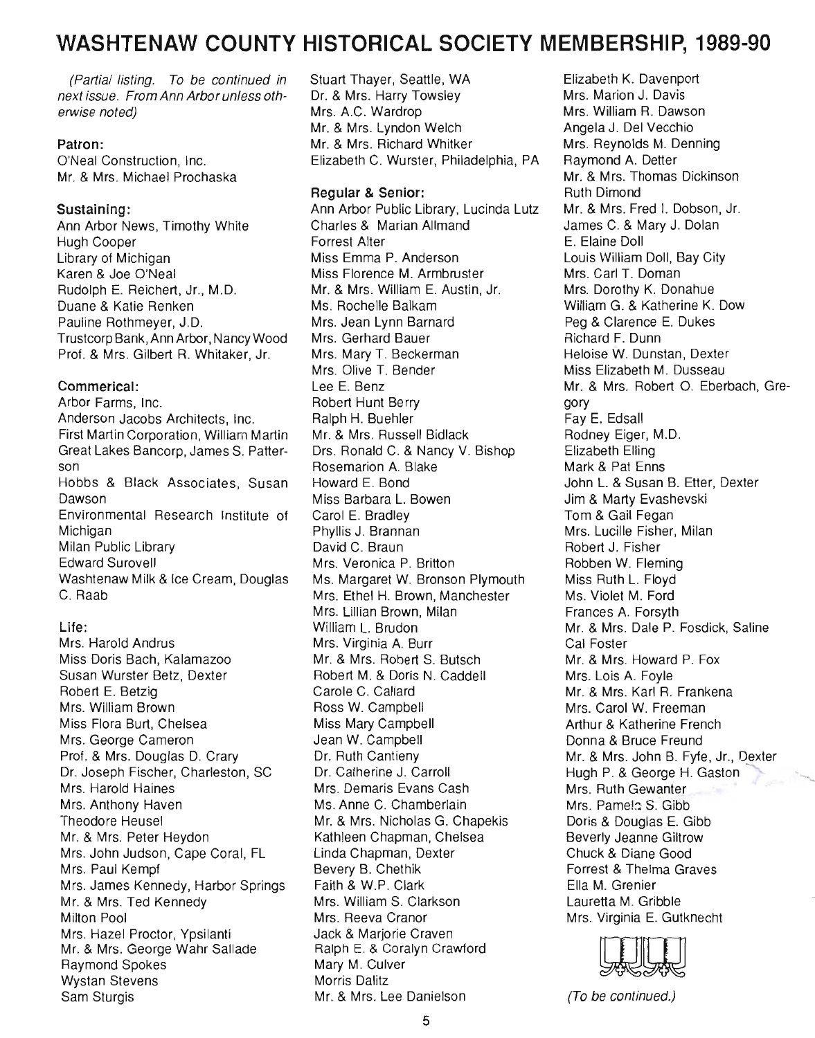# **WASHTENAW COUNTY HISTORICAL SOCIETY MEMBERSHIP, 1989-90**

(Partial listing. To be continued in next issue. From Ann Arbor unless otherwise noted)

### **Patron:**

O'Neal Construction, Inc. Mr. & Mrs. Michael Prochaska

### **Sustaining:**

Ann Arbor News, Timothy White Hugh Cooper Library of Michigan Karen & Joe O'Neal Rudolph E. Reichert, Jr., M.D. Duane & Katie Renken Pauline Rothmeyer, J.D. Trustcorp Bank, Ann Arbor, Nancy Wood Prof. & Mrs. Gilbert R. Whitaker, Jr.

### **Commerical:**

Arbor Farms, Inc. Anderson Jacobs Architects, Inc. First Martin Corporation, William Martin Great Lakes Bancorp, James S. Patterson Hobbs & Black Associates, Susan Dawson Environmental Research Institute of Michigan Milan Public Library Edward Surovell Washtenaw Milk & Ice Cream, Douglas C. Raab

### **Life:**

Mrs. Harold Andrus Miss Doris Bach, Kalamazoo Susan Wurster Betz, Dexter Robert E. Betzig Mrs. William Brown Miss Flora Burt, Chelsea Mrs. George Cameron Prof. & Mrs. Douglas D. Crary Dr. Joseph Fischer, Charleston, SC Mrs. Harold Haines Mrs. Anthony Haven Theodore Heusel Mr. & Mrs. Peter Heydon Mrs. John Judson, Cape Coral, FL Mrs. Paul Kempf Mrs. James Kennedy, Harbor Springs Mr. & Mrs. Ted Kennedy Milton Pool Mrs. Hazel Proctor, Ypsilanti Mr. & Mrs. George Wahr Sallade Raymond Spokes Wystan Stevens Sam Sturgis

Stuart Thayer, Seattle, WA Dr. & Mrs. Harry Towsley Mrs. A.C. Wardrop Mr. & Mrs. Lyndon Welch Mr. & Mrs. Richard Whitker Elizabeth C. Wurster, Philadelphia, PA

### **Regular & Senior:**

Ann Arbor Public Library, Lucinda Lutz Charles & Marian Allmand Forrest Alter Miss Emma P. Anderson Miss Florence M. Armbruster Mr. & Mrs. William E. Austin, Jr. Ms. Rochelle Balkam Mrs. Jean Lynn Barnard Mrs. Gerhard Bauer Mrs. Mary T. Beckerman Mrs. Olive T. Bender Lee E. Benz Robert Hunt Berry Ralph H. Buehler Mr. & Mrs. Russell Bidlack Drs. Ronald C. & Nancy V. Bishop Rosemarion A. Blake Howard E. Bond Miss Barbara L. Bowen Carol E. Bradley Phyllis J. Brannan David C. Braun Mrs. Veronica P. Britton Ms. Margaret W. Bronson Plymouth Mrs. Ethel H. Brown, Manchester Mrs. Lillian Brown, Milan William L. Brudon Mrs. Virginia A. Burr Mr. & Mrs. Robert S. Butsch Robert M. & Doris N. Caddell Carole C. Callard Ross W. Campbell Miss Mary Campbell Jean W. Campbell Dr. Ruth Cantieny Dr. Catherine J. Carroll Mrs. Demaris Evans Cash Ms. Anne C. Chamberlain Mr. & Mrs. Nicholas G. Chapekis Kathleen Chapman, Chelsea Linda Chapman, Dexter Bevery B. Chethik Faith & W.P. Clark Mrs. William S. Clarkson Mrs. Reeva Cranor Jack & Marjorie Craven Ralph E. & Coralyn Crawford Mary M. Culver Morris Dalitz Mr. & Mrs. Lee Danielson

Elizabeth K. Davenport Mrs. Marion J. Davis Mrs. William R. Dawson Angela J. Del Vecchio Mrs. Reynolds M. Denning Raymond A. Detter Mr. & Mrs. Thomas Dickinson Ruth Dimond Mr. & Mrs. Fred I. Dobson, Jr. James C. & Mary J. Dolan E. Elaine Doll Louis William Doll, Bay City Mrs. Carl T. Doman Mrs. Dorothy K. Donahue William G. & Katherine K. Dow Peg & Clarence E. Dukes Richard F. Dunn Heloise W. Dunstan, Dexter Miss Elizabeth M. Dusseau Mr. & Mrs. Robert O. Eberbach, Gregory Fay E. Edsall Rodney Eiger, M.D. Elizabeth Elling Mark & Pat Enns John L. & Susan B. Etter, Dexter Jim & Marty Evashevski Tom & Gail Fegan Mrs. Lucille Fisher, Milan Robert J. Fisher Robben W. Fleming Miss Ruth L. Floyd Ms. Violet M. Ford Frances A. Forsyth Mr. & Mrs. Dale P. Fosdick, Saline Cal Foster Mr. & Mrs. Howard P. Fox Mrs. Lois A. Foyle Mr. & Mrs. Karl R. Frankena Mrs. Carol W. Freeman Arthur & Katherine French Donna & Bruce Freund Mr. & Mrs. John B. Fyfe, Jr., Oexter Hugh P. & George H. Gaston Mrs. Ruth Gewanter Mrs. Pamelo S. Gibb Doris & Douglas E. Gibb Beverly Jeanne Giltrow Chuck & Diane Good Forrest & Thelma Graves Ella M. Grenier Lauretta M. Gribble Mrs. Virginia E. Gutknecht



(To be continued.)